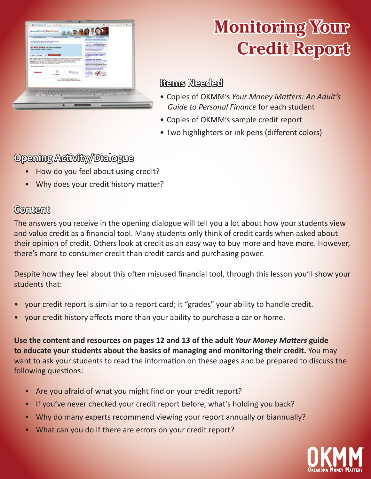

# **Monitoring Your Credit Report**

## **Items Needed**

- • Copies of OKMM's *Your Money Matters: An Adult's Guide to Personal Finance* for each student
- Copies of OKMM's sample credit report
- Two highlighters or ink pens (different colors)

# **Opening Activity/Dialogue**

- How do you feel about using credit?
- Why does your credit history matter?

# **Content**

The answers you receive in the opening dialogue will tell you a lot about how your students view and value credit as a financial tool. Many students only think of credit cards when asked about their opinion of credit. Others look at credit as an easy way to buy more and have more. However, there's more to consumer credit than credit cards and purchasing power.

Despite how they feel about this often misused financial tool, through this lesson you'll show your students that:

- your credit report is similar to a report card; it "grades" your ability to handle credit.
- your credit history affects more than your ability to purchase a car or home.

**Use the content and resources on pages 12 and 13 of the adult** *Your Money Matters* **guide to educate your students about the basics of managing and monitoring their credit.** You may want to ask your students to read the information on these pages and be prepared to discuss the following questions:

- Are you afraid of what you might find on your credit report?
- If you've never checked your credit report before, what's holding you back?
- Why do many experts recommend viewing your report annually or biannually?
- What can you do if there are errors on your credit report?

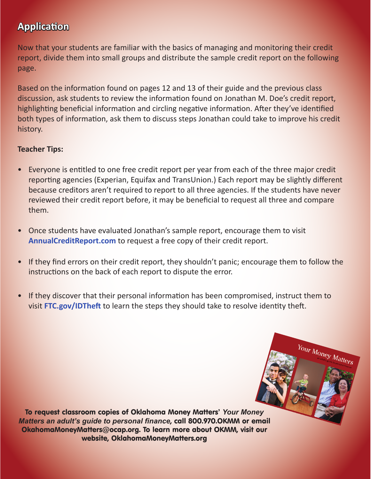# **Application**

Now that your students are familiar with the basics of managing and monitoring their credit report, divide them into small groups and distribute the sample credit report on the following page.

Based on the information found on pages 12 and 13 of their guide and the previous class discussion, ask students to review the information found on Jonathan M. Doe's credit report, highlighting beneficial information and circling negative information. After they've identified both types of information, ask them to discuss steps Jonathan could take to improve his credit history.

### **Teacher Tips:**

- Everyone is entitled to one free credit report per year from each of the three major credit reporting agencies (Experian, Equifax and TransUnion.) Each report may be slightly different because creditors aren't required to report to all three agencies. If the students have never reviewed their credit report before, it may be beneficial to request all three and compare them.
- Once students have evaluated Jonathan's sample report, encourage them to visit **AnnualCreditReport.com** to request a free copy of their credit report.
- If they find errors on their credit report, they shouldn't panic; encourage them to follow the instructions on the back of each report to dispute the error.
- If they discover that their personal information has been compromised, instruct them to visit **FTC.gov/IDTheft** to learn the steps they should take to resolve identity theft.

Your Money Matters

To request classroom copies of Oklahoma Money Matters' *Your Money Matters an adult's guide to personal finance*, call 800.970.OKMM or email OkahomaMoneyMatters@ocap.org. To learn more about OKMM, visit our website, OklahomaMoneyMatters.org